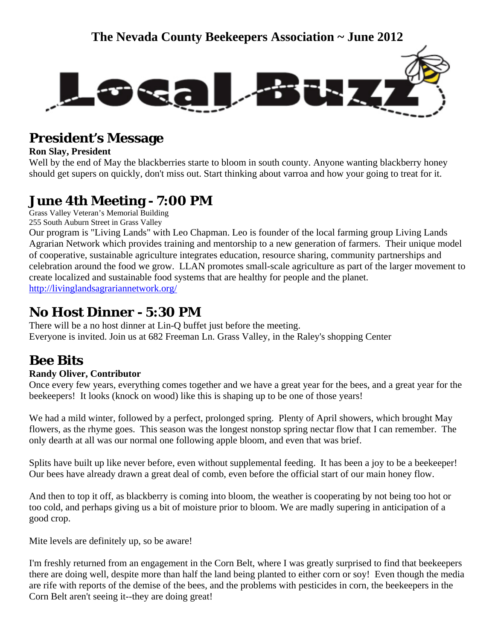

### **President's Message**

#### **Ron Slay, President**

Well by the end of May the blackberries starte to bloom in south county. Anyone wanting blackberry honey should get supers on quickly, don't miss out. Start thinking about varroa and how your going to treat for it.

# **June 4th Meeting - 7:00 PM**

Grass Valley Veteran's Memorial Building 255 South Auburn Street in Grass Valley

Our program is "Living Lands" with Leo Chapman. Leo is founder of the local farming group Living Lands Agrarian Network which provides training and mentorship to a new generation of farmers. Their unique model of cooperative, sustainable agriculture integrates education, resource sharing, community partnerships and celebration around the food we grow. LLAN promotes small-scale agriculture as part of the larger movement to create localized and sustainable food systems that are healthy for people and the planet. <http://livinglandsagrariannetwork.org/>

### **No Host Dinner - 5:30 PM**

There will be a no host dinner at Lin-Q buffet just before the meeting. Everyone is invited. Join us at 682 Freeman Ln. Grass Valley, in the Raley's shopping Center

## **Bee Bits**

### **Randy Oliver, Contributor**

Once every few years, everything comes together and we have a great year for the bees, and a great year for the beekeepers! It looks (knock on wood) like this is shaping up to be one of those years!

We had a mild winter, followed by a perfect, prolonged spring. Plenty of April showers, which brought May flowers, as the rhyme goes. This season was the longest nonstop spring nectar flow that I can remember. The only dearth at all was our normal one following apple bloom, and even that was brief.

Splits have built up like never before, even without supplemental feeding. It has been a joy to be a beekeeper! Our bees have already drawn a great deal of comb, even before the official start of our main honey flow.

And then to top it off, as blackberry is coming into bloom, the weather is cooperating by not being too hot or too cold, and perhaps giving us a bit of moisture prior to bloom. We are madly supering in anticipation of a good crop.

Mite levels are definitely up, so be aware!

I'm freshly returned from an engagement in the Corn Belt, where I was greatly surprised to find that beekeepers there are doing well, despite more than half the land being planted to either corn or soy! Even though the media are rife with reports of the demise of the bees, and the problems with pesticides in corn, the beekeepers in the Corn Belt aren't seeing it--they are doing great!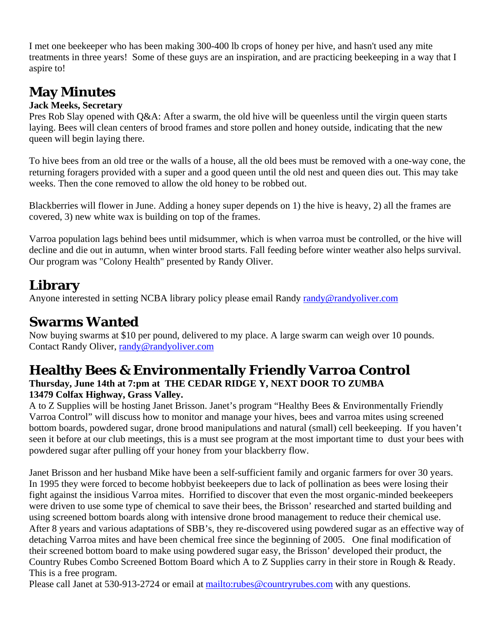I met one beekeeper who has been making 300-400 lb crops of honey per hive, and hasn't used any mite treatments in three years! Some of these guys are an inspiration, and are practicing beekeeping in a way that I aspire to!

# **May Minutes**

#### **Jack Meeks, Secretary**

Pres Rob Slay opened with O&A: After a swarm, the old hive will be queenless until the virgin queen starts laying. Bees will clean centers of brood frames and store pollen and honey outside, indicating that the new queen will begin laying there.

To hive bees from an old tree or the walls of a house, all the old bees must be removed with a one-way cone, the returning foragers provided with a super and a good queen until the old nest and queen dies out. This may take weeks. Then the cone removed to allow the old honey to be robbed out.

Blackberries will flower in June. Adding a honey super depends on 1) the hive is heavy, 2) all the frames are covered, 3) new white wax is building on top of the frames.

Varroa population lags behind bees until midsummer, which is when varroa must be controlled, or the hive will decline and die out in autumn, when winter brood starts. Fall feeding before winter weather also helps survival. Our program was "Colony Health" presented by Randy Oliver.

### **Library**

Anyone interested in setting NCBA library policy please email Randy [randy@randyoliver.com](mailto:randy@randyoliver.com)

## **Swarms Wanted**

Now buying swarms at \$10 per pound, delivere[d](mailto:randy@randyoliver.com) to my place. A large swarm can weigh over 10 pounds. Contact Randy Oliver, [randy@randyoliver.com](mailto:randy@randyoliver.com)

## **Healthy Bees & Environmentally Friendly Varroa Control**

### **Thursday, June 14th at 7:pm at THE CEDAR RIDGE Y, NEXT DOOR TO ZUMBA 13479 Colfax Highway, Grass Valley.**

A to Z Supplies will be hosting Janet Brisson. Janet's program "Healthy Bees & Environmentally Friendly Varroa Control" will discuss how to monitor and manage your hives, bees and varroa mites using screened bottom boards, powdered sugar, drone brood manipulations and natural (small) cell beekeeping. If you haven't seen it before at our club meetings, this is a must see program at the most important time to dust your bees with powdered sugar after pulling off your honey from your blackberry flow.

Janet Brisson and her husband Mike have been a self-sufficient family and organic farmers for over 30 years. In 1995 they were forced to become hobbyist beekeepers due to lack of pollination as bees were losing their fight against the insidious Varroa mites. Horrified to discover that even the most organic-minded beekeepers were driven to use some type of chemical to save their bees, the Brisson' researched and started building and using screened bottom boards along with intensive drone brood management to reduce their chemical use. After 8 years and various adaptations of SBB's, they re-discovered using powdered sugar as an effective way of detaching Varroa mites and have been chemical free since the beginning of 2005. One final modification of their screened bottom board to make using powdered sugar easy, the Brisson' developed their product, the Country Rubes Combo Screened Bottom Board which A to Z Supplies carry in their store in Rough & Ready. This is a free program.

Please call Janet at 530-913-2724 or email at <mailto:rubes@countryrubes.com>with any questions.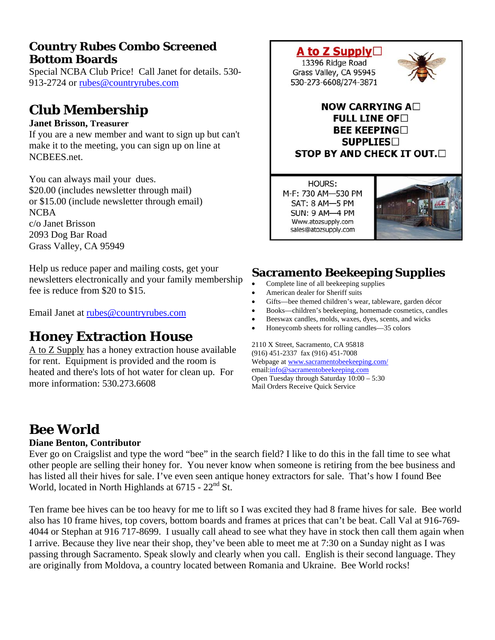### **Country Rubes Combo Screened Bottom Boards**

Special NCBA Club Price! Call Janet for details. 530- 913-2724 or [rubes@countryrubes.com](mailto:rubes@countryrubes.com)

## **Club Membership**

#### **Janet Brisson, Treasurer**

If you are a new member and want to sign up but can't make it to the meeting, you can sign up on line at NCBEES.net.

You can always mail your dues. \$20.00 (includes newsletter through mail) or \$15.00 (include newsletter through email) NCBA c/o Janet Brisson 2093 Dog Bar Road Grass Valley, CA 95949

Help us reduce paper and mailing costs, get your newsletters electronically and your family membership fee is reduce from \$20 to \$15.

Email Janet at [rubes@countryrubes.com](mailto:rubes@countryrubes.com)

### **Honey Extraction House**

A to Z Supply has a honey extraction house available for rent. Equipment is provided and the room is heated and there's lots of hot water for clean up. For more information: 530.273.6608



M-F: 730 AM-530 PM SAT: 8 AM-5 PM **SUN: 9 AM-4 PM** Www.atozsupply.com sales@atozsupply.com



### **Sacramento Beekeeping Supplies**

- Complete line of all beekeeping supplies
- American dealer for Sheriff suits
- Gifts—bee themed children's wear, tableware, garden décor
- Books—children's beekeeping, homemade cosmetics, candles
- Beeswax candles, molds, waxes, dyes, scents, and wicks
- Honeycomb sheets for rolling candles—35 colors

2110 X Street, Sacramento, CA 95818 (916) 451-2337 fax (916) 451-7008 Webpage at [www.sacramentobeekeeping.com/](http://www.sacramentobeekeeping.com/) email:[info@sacramentobeekeeping.com](mailto:%20info@sacramentobeekeeping.com) Open Tuesday through Saturday 10:00 – 5:30 Mail Orders Receive Quick Service

## **Bee World**

#### **Diane Benton, Contributor**

Ever go on Craigslist and type the word "bee" in the search field? I like to do this in the fall time to see what other people are selling their honey for. You never know when someone is retiring from the bee business and has listed all their hives for sale. I've even seen antique honey extractors for sale. That's how I found Bee World, located in North Highlands at  $6715 - 22<sup>nd</sup>$  St.

Ten frame bee hives can be too heavy for me to lift so I was excited they had 8 frame hives for sale. Bee world also has 10 frame hives, top covers, bottom boards and frames at prices that can't be beat. Call Val at 916-769- 4044 or Stephan at 916 717-8699. I usually call ahead to see what they have in stock then call them again when I arrive. Because they live near their shop, they've been able to meet me at 7:30 on a Sunday night as I was passing through Sacramento. Speak slowly and clearly when you call. English is their second language. They are originally from Moldova, a country located between Romania and Ukraine. Bee World rocks!